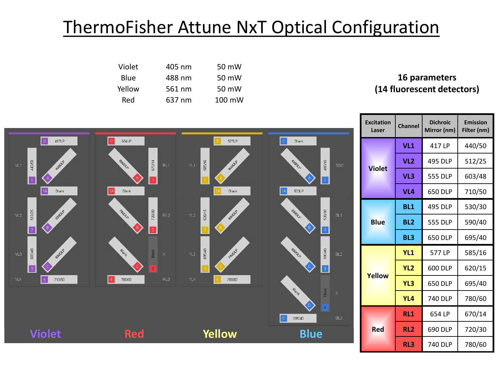## ThermoFisher Attune NxT Optical Configuration

| Violet | 405 nm | 50 mW            |
|--------|--------|------------------|
| Blue   | 488 nm | 50 mW            |
| Yellow | 561 nm | 50 mW            |
| Red    | 637 nm | $100 \text{ mW}$ |

## **16 parameters (14 fluorescent detectors)**



| <b>Excitation</b><br>Laser | <b>Dichroic</b><br><b>Channel</b><br>Mirror (nm) |                | <b>Emission</b><br>Filter (nm) |  |
|----------------------------|--------------------------------------------------|----------------|--------------------------------|--|
| <b>Violet</b>              | VL1                                              | 417 I P        | 440/50                         |  |
|                            | VL <sub>2</sub>                                  | 495 DLP        | 512/25                         |  |
|                            | VL3                                              | <b>555 DLP</b> | 603/48                         |  |
|                            | VL <sub>4</sub>                                  | 650 DLP        | 710/50                         |  |
| <b>Blue</b>                | BL <sub>1</sub>                                  | 495 DLP        | 530/30                         |  |
|                            | <b>BL2</b>                                       | <b>555 DLP</b> | 590/40                         |  |
|                            | BL <sub>3</sub>                                  | 650 DLP        | 695/40                         |  |
| Yellow                     | YL <sub>1</sub>                                  | 577 LP         | 585/16                         |  |
|                            | YL <sub>2</sub>                                  | 600 DLP        | 620/15                         |  |
|                            | YL3                                              | 650 DLP        | 695/40                         |  |
|                            | YL4                                              | <b>740 DLP</b> | 780/60                         |  |
| <b>Red</b>                 | <b>RL1</b>                                       | 654 LP         | 670/14                         |  |
|                            | RL <sub>2</sub>                                  | 690 DLP        | 720/30                         |  |
|                            | RL <sub>3</sub>                                  | <b>740 DLP</b> | 780/60                         |  |